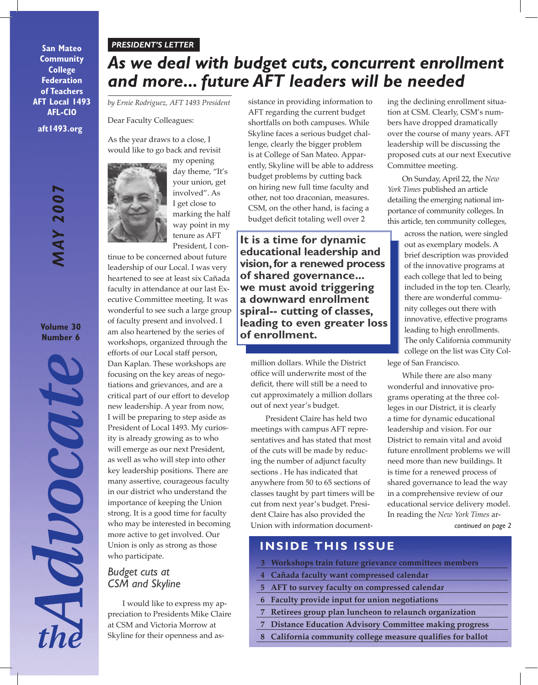#### *PRESIDENT'S LETTER*

**aft1493.org San Mateo Community College Federation of Teachers AFT Local 1493 AFL-CIO**

> *MAY 2007* **MAY 2007**

**Volume 30 Number 6**

Mocate

# *As we deal with budget cuts, concurrent enrollment and more... future AFT leaders will be needed*

*by Ernie Rodriguez, AFT 1493 President*

Dear Faculty Colleagues:

As the year draws to a close, I would like to go back and revisit



my opening day theme, "It's your union, get involved". As I get close to marking the half way point in my

tenure as AFT President, I con-

tinue to be concerned about future leadership of our Local. I was very heartened to see at least six Cañada faculty in attendance at our last Executive Committee meeting. It was wonderful to see such a large group of faculty present and involved. I am also heartened by the series of workshops, organized through the efforts of our Local staff person, Dan Kaplan. These workshops are

focusing on the key areas of negotiations and grievances, and are a critical part of our effort to develop new leadership. A year from now, I will be preparing to step aside as President of Local 1493. My curiosity is already growing as to who will emerge as our next President, as well as who will step into other key leadership positions. There are many assertive, courageous faculty in our district who understand the importance of keeping the Union strong. It is a good time for faculty who may be interested in becoming more active to get involved. Our Union is only as strong as those who participate.

# *Budget cuts at CSM and Skyline*

I would like to express my appreciation to Presidents Mike Claire at CSM and Victoria Morrow at Skyline for their openness and as-

sistance in providing information to AFT regarding the current budget shortfalls on both campuses. While Skyline faces a serious budget challenge, clearly the bigger problem is at College of San Mateo. Apparently, Skyline will be able to address budget problems by cutting back on hiring new full time faculty and other, not too draconian, measures. CSM, on the other hand, is facing a budget deficit totaling well over 2

**It is a time for dynamic educational leadership and vision, for a renewed process of shared governance... we must avoid triggering a downward enrollment spiral-- cutting of classes, leading to even greater loss of enrollment.** 

million dollars. While the District office will underwrite most of the deficit, there will still be a need to cut approximately a million dollars out of next year's budget.

President Claire has held two meetings with campus AFT representatives and has stated that most of the cuts will be made by reducing the number of adjunct faculty sections . He has indicated that anywhere from 50 to 65 sections of classes taught by part timers will be cut from next year's budget. President Claire has also provided the Union with information document-

ing the declining enrollment situation at CSM. Clearly, CSM's numbers have dropped dramatically over the course of many years. AFT leadership will be discussing the proposed cuts at our next Executive Committee meeting.

On Sunday, April 22, the *New York Times* published an article detailing the emerging national importance of community colleges. In this article, ten community colleges,

across the nation, were singled out as exemplary models. A brief description was provided of the innovative programs at each college that led to being included in the top ten. Clearly, there are wonderful community colleges out there with innovative, effective programs leading to high enrollments. The only California community college on the list was City College of San Francisco.

*continued on page 2* While there are also many wonderful and innovative programs operating at the three colleges in our District, it is clearly a time for dynamic educational leadership and vision. For our District to remain vital and avoid future enrollment problems we will need more than new buildings. It is time for a renewed process of shared governance to lead the way in a comprehensive review of our educational service delivery model. In reading the *New York Times* ar-

**INSIDE THIS ISSUE**

- **3 Workshops train future grievance committees members**
- **4 Cañada faculty want compressed calendar**
- **5 AFT to survey faculty on compressed calendar**
- **6 Faculty provide input for union negotiations**
- **7 Retirees group plan luncheon to relaunch organization**
- **7 Distance Education Advisory Committee making progress**
- **8 California community college measure qualifies for ballot**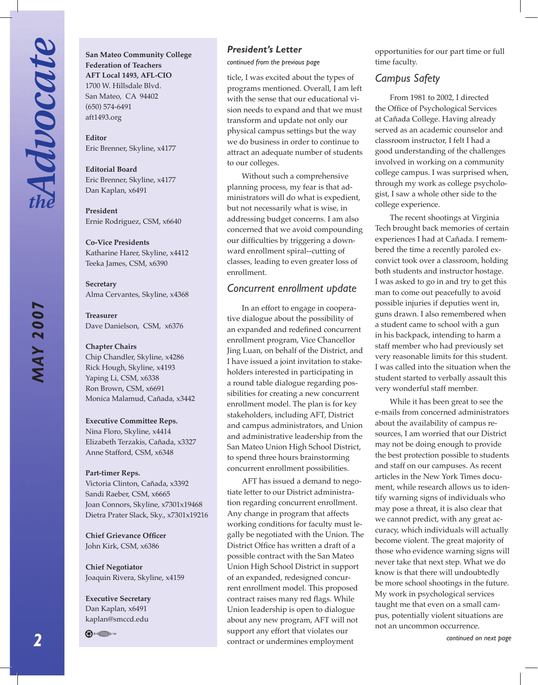**San Mateo Community College Federation of Teachers AFT Local 1493, AFL-CIO** 1700 W. Hillsdale Blvd. San Mateo, CA 94402 (650) 574-6491 aft1493.org

**Editor**  Eric Brenner, Skyline, x4177

**Editorial Board** Eric Brenner, Skyline, x4177 Dan Kaplan, x6491

**President**  Ernie Rodriguez, CSM, x6640

**Co-Vice Presidents** Katharine Harer, Skyline, x4412 Teeka James, CSM, x6390

**Secretary** Alma Cervantes, Skyline, x4368

**Treasurer** Dave Danielson, CSM, x6376

**Chapter Chairs** Chip Chandler, Skyline, x4286 Rick Hough, Skyline, x4193 Yaping Li, CSM, x6338 Ron Brown, CSM, x6691 Monica Malamud, Cañada, x3442

#### **Executive Committee Reps.**

Nina Floro, Skyline, x4414 Elizabeth Terzakis, Cañada, x3327 Anne Stafford, CSM, x6348

#### **Part-timer Reps.**

Victoria Clinton, Cañada, x3392 Sandi Raeber, CSM, x6665 Joan Connors, Skyline, x7301x19468 Dietra Prater Slack, Sky., x7301x19216

**Chief Grievance Officer** John Kirk, CSM, x6386

**Chief Negotiator** Joaquin Rivera, Skyline, x4159

**Executive Secretary** Dan Kaplan, x6491 kaplan@smccd.edu

**A** · ●

#### *President's Letter*

*continued from the previous page*

ticle, I was excited about the types of programs mentioned. Overall, I am left with the sense that our educational vision needs to expand and that we must transform and update not only our physical campus settings but the way we do business in order to continue to attract an adequate number of students to our colleges.

Without such a comprehensive planning process, my fear is that administrators will do what is expedient, but not necessarily what is wise, in addressing budget concerns. I am also concerned that we avoid compounding our difficulties by triggering a downward enrollment spiral--cutting of classes, leading to even greater loss of enrollment.

### *Concurrent enrollment update*

In an effort to engage in cooperative dialogue about the possibility of an expanded and redefined concurrent enrollment program, Vice Chancellor Jing Luan, on behalf of the District, and I have issued a joint invitation to stakeholders interested in participating in a round table dialogue regarding possibilities for creating a new concurrent enrollment model. The plan is for key stakeholders, including AFT, District and campus administrators, and Union and administrative leadership from the San Mateo Union High School District, to spend three hours brainstorming concurrent enrollment possibilities.

AFT has issued a demand to negotiate letter to our District administration regarding concurrent enrollment. Any change in program that affects working conditions for faculty must legally be negotiated with the Union. The District Office has written a draft of a possible contract with the San Mateo Union High School District in support of an expanded, redesigned concurrent enrollment model. This proposed contract raises many red flags. While Union leadership is open to dialogue about any new program, AFT will not support any effort that violates our contract or undermines employment

opportunities for our part time or full time faculty.

## *Campus Safety*

From 1981 to 2002, I directed the Office of Psychological Services at Cañada College. Having already served as an academic counselor and classroom instructor, I felt I had a good understanding of the challenges involved in working on a community college campus. I was surprised when, through my work as college psychologist, I saw a whole other side to the college experience.

The recent shootings at Virginia Tech brought back memories of certain experiences I had at Cañada. I remembered the time a recently paroled exconvict took over a classroom, holding both students and instructor hostage. I was asked to go in and try to get this man to come out peacefully to avoid possible injuries if deputies went in, guns drawn. I also remembered when a student came to school with a gun in his backpack, intending to harm a staff member who had previously set very reasonable limits for this student. I was called into the situation when the student started to verbally assault this very wonderful staff member.

While it has been great to see the e-mails from concerned administrators about the availability of campus resources, I am worried that our District may not be doing enough to provide the best protection possible to students and staff on our campuses. As recent articles in the New York Times document, while research allows us to identify warning signs of individuals who may pose a threat, it is also clear that we cannot predict, with any great accuracy, which individuals will actually become violent. The great majority of those who evidence warning signs will never take that next step. What we do know is that there will undoubtedly be more school shootings in the future. My work in psychological services taught me that even on a small campus, potentially violent situations are not an uncommon occurrence.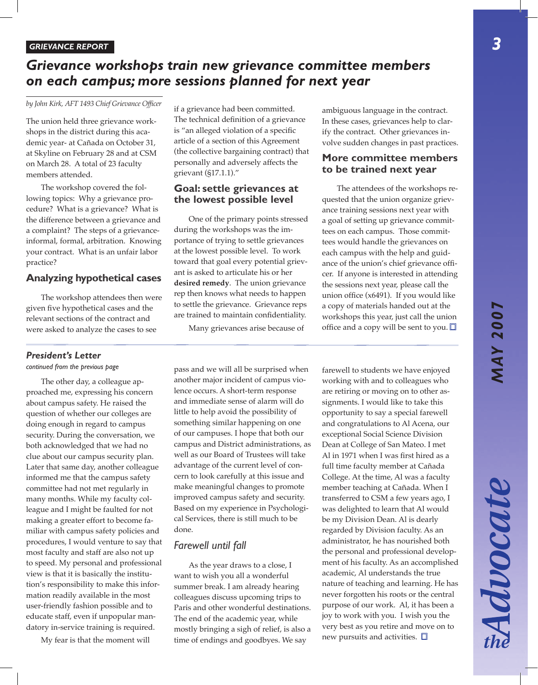Advocate

# *Grievance workshops train new grievance committee members on each campus; more sessions planned for next year*

*by John Kirk, AFT 1493 Chief Grievance Officer*

The union held three grievance workshops in the district during this academic year- at Cañada on October 31, at Skyline on February 28 and at CSM on March 28. A total of 23 faculty members attended.

The workshop covered the following topics: Why a grievance procedure? What is a grievance? What is the difference between a grievance and a complaint? The steps of a grievanceinformal, formal, arbitration. Knowing your contract. What is an unfair labor practice?

### **Analyzing hypothetical cases**

The workshop attendees then were given five hypothetical cases and the relevant sections of the contract and were asked to analyze the cases to see

if a grievance had been committed. The technical definition of a grievance is "an alleged violation of a specific article of a section of this Agreement (the collective bargaining contract) that personally and adversely affects the grievant (§17.1.1)."

### **Goal: settle grievances at the lowest possible level**

One of the primary points stressed during the workshops was the importance of trying to settle grievances at the lowest possible level. To work toward that goal every potential grievant is asked to articulate his or her **desired remedy**. The union grievance rep then knows what needs to happen to settle the grievance. Grievance reps are trained to maintain confidentiality.

Many grievances arise because of

ambiguous language in the contract. In these cases, grievances help to clarify the contract. Other grievances involve sudden changes in past practices.

### **More committee members to be trained next year**

The attendees of the workshops requested that the union organize grievance training sessions next year with a goal of setting up grievance committees on each campus. Those committees would handle the grievances on each campus with the help and guidance of the union's chief grievance officer. If anyone is interested in attending the sessions next year, please call the union office (x6491). If you would like a copy of materials handed out at the workshops this year, just call the union office and a copy will be sent to you.  $\Box$ 

# *President's Letter*

*continued from the previous page*

The other day, a colleague approached me, expressing his concern about campus safety. He raised the question of whether our colleges are doing enough in regard to campus security. During the conversation, we both acknowledged that we had no clue about our campus security plan. Later that same day, another colleague informed me that the campus safety committee had not met regularly in many months. While my faculty colleague and I might be faulted for not making a greater effort to become familiar with campus safety policies and procedures, I would venture to say that most faculty and staff are also not up to speed. My personal and professional view is that it is basically the institution's responsibility to make this information readily available in the most user-friendly fashion possible and to educate staff, even if unpopular mandatory in-service training is required.

My fear is that the moment will

pass and we will all be surprised when another major incident of campus violence occurs. A short-term response and immediate sense of alarm will do little to help avoid the possibility of something similar happening on one of our campuses. I hope that both our campus and District administrations, as well as our Board of Trustees will take advantage of the current level of concern to look carefully at this issue and make meaningful changes to promote improved campus safety and security. Based on my experience in Psychological Services, there is still much to be done.

## *Farewell until fall*

As the year draws to a close, I want to wish you all a wonderful summer break. I am already hearing colleagues discuss upcoming trips to Paris and other wonderful destinations. The end of the academic year, while mostly bringing a sigh of relief, is also a time of endings and goodbyes. We say

farewell to students we have enjoyed working with and to colleagues who are retiring or moving on to other assignments. I would like to take this opportunity to say a special farewell and congratulations to Al Acena, our exceptional Social Science Division Dean at College of San Mateo. I met Al in 1971 when I was first hired as a full time faculty member at Cañada College. At the time, Al was a faculty member teaching at Cañada. When I transferred to CSM a few years ago, I was delighted to learn that Al would be my Division Dean. Al is dearly regarded by Division faculty. As an administrator, he has nourished both the personal and professional development of his faculty. As an accomplished academic, Al understands the true nature of teaching and learning. He has never forgotten his roots or the central purpose of our work. Al, it has been a joy to work with you. I wish you the very best as you retire and move on to new pursuits and activities.  $\square$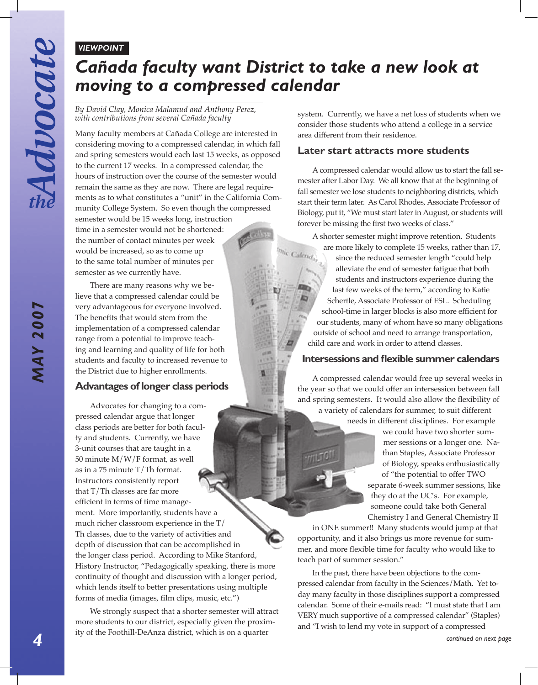### *VIEWPOINT*

# *Cañada faculty want District to take a new look at moving to a compressed calendar*

#### *By David Clay, Monica Malamud and Anthony Perez, with contributions from several Cañada faculty*

Many faculty members at Cañada College are interested in considering moving to a compressed calendar, in which fall and spring semesters would each last 15 weeks, as opposed to the current 17 weeks. In a compressed calendar, the hours of instruction over the course of the semester would remain the same as they are now. There are legal requirements as to what constitutes a "unit" in the California Community College System. So even though the compressed semester would be 15 weeks long, instruction time in a semester would not be shortened: the number of contact minutes per week would be increased, so as to come up to the same total number of minutes per semester as we currently have.

There are many reasons why we believe that a compressed calendar could be very advantageous for everyone involved. The benefits that would stem from the implementation of a compressed calendar range from a potential to improve teaching and learning and quality of life for both students and faculty to increased revenue to the District due to higher enrollments.

# **Advantages of longer class periods**

Advocates for changing to a compressed calendar argue that longer class periods are better for both faculty and students. Currently, we have 3-unit courses that are taught in a 50 minute M/W/F format, as well as in a 75 minute T/Th format. Instructors consistently report that T/Th classes are far more efficient in terms of time management. More importantly, students have a much richer classroom experience in the T/ Th classes, due to the variety of activities and depth of discussion that can be accomplished in the longer class period. According to Mike Stanford, History Instructor, "Pedagogically speaking, there is more continuity of thought and discussion with a longer period, which lends itself to better presentations using multiple forms of media (images, film clips, music, etc.")

*continued on next page*<br> *continued on next page*<br> *continued on next page* We strongly suspect that a shorter semester will attract more students to our district, especially given the proximity of the Foothill-DeAnza district, which is on a quarter

system. Currently, we have a net loss of students when we consider those students who attend a college in a service area different from their residence.

### **Later start attracts more students**

A compressed calendar would allow us to start the fall semester after Labor Day. We all know that at the beginning of fall semester we lose students to neighboring districts, which start their term later. As Carol Rhodes, Associate Professor of Biology, put it, "We must start later in August, or students will forever be missing the first two weeks of class."

A shorter semester might improve retention. Students are more likely to complete 15 weeks, rather than 17, mic Calend<sub>ar</sub> since the reduced semester length "could help alleviate the end of semester fatigue that both students and instructors experience during the last few weeks of the term," according to Katie Schertle, Associate Professor of ESL. Scheduling school-time in larger blocks is also more efficient for our students, many of whom have so many obligations outside of school and need to arrange transportation, child care and work in order to attend classes.

## **Intersessions and flexible summer calendars**

A compressed calendar would free up several weeks in the year so that we could offer an intersession between fall and spring semesters. It would also allow the flexibility of a variety of calendars for summer, to suit different

needs in different disciplines. For example we could have two shorter sum-

mer sessions or a longer one. Nathan Staples, Associate Professor of Biology, speaks enthusiastically of "the potential to offer TWO separate 6-week summer sessions, like they do at the UC's. For example, someone could take both General Chemistry I and General Chemistry II

in ONE summer!! Many students would jump at that opportunity, and it also brings us more revenue for summer, and more flexible time for faculty who would like to teach part of summer session."

In the past, there have been objections to the compressed calendar from faculty in the Sciences/Math. Yet today many faculty in those disciplines support a compressed calendar. Some of their e-mails read: "I must state that I am VERY much supportive of a compressed calendar" (Staples) and "I wish to lend my vote in support of a compressed

*MAY 2007*

**MAY 2007**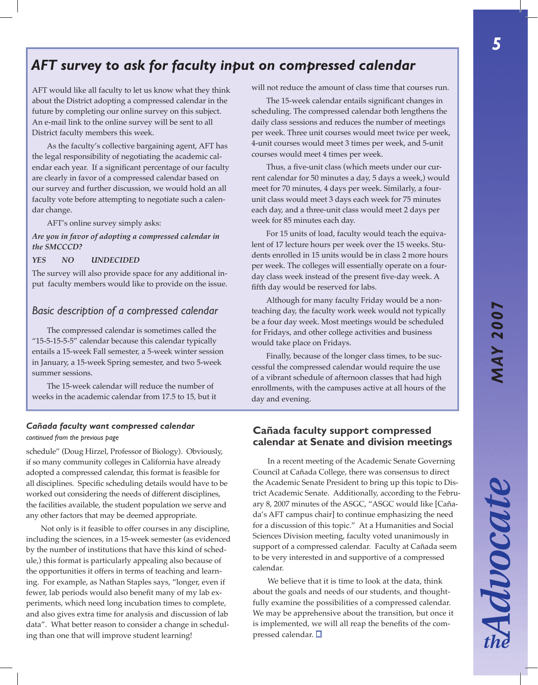Advocate

# *AFT survey to ask for faculty input on compressed calendar*

AFT would like all faculty to let us know what they think about the District adopting a compressed calendar in the future by completing our online survey on this subject. An e-mail link to the online survey will be sent to all District faculty members this week.

As the faculty's collective bargaining agent, AFT has the legal responsibility of negotiating the academic calendar each year. If a significant percentage of our faculty are clearly in favor of a compressed calendar based on our survey and further discussion, we would hold an all faculty vote before attempting to negotiate such a calendar change.

AFT's online survey simply asks:

#### *Are you in favor of adopting a compressed calendar in the SMCCCD?*

#### *YES NO UNDECIDED*

The survey will also provide space for any additional input faculty members would like to provide on the issue.

### *Basic description of a compressed calendar*

The compressed calendar is sometimes called the "15-5-15-5-5" calendar because this calendar typically entails a 15-week Fall semester, a 5-week winter session in January, a 15-week Spring semester, and two 5-week summer sessions.

The 15-week calendar will reduce the number of weeks in the academic calendar from 17.5 to 15, but it

#### *continued from the previous page*

schedule" (Doug Hirzel, Professor of Biology). Obviously, if so many community colleges in California have already adopted a compressed calendar, this format is feasible for all disciplines. Specific scheduling details would have to be worked out considering the needs of different disciplines, the facilities available, the student population we serve and any other factors that may be deemed appropriate.

Not only is it feasible to offer courses in any discipline, including the sciences, in a 15-week semester (as evidenced by the number of institutions that have this kind of schedule,) this format is particularly appealing also because of the opportunities it offers in terms of teaching and learning. For example, as Nathan Staples says, "longer, even if fewer, lab periods would also benefit many of my lab experiments, which need long incubation times to complete, and also gives extra time for analysis and discussion of lab data". What better reason to consider a change in scheduling than one that will improve student learning!

will not reduce the amount of class time that courses run.

The 15-week calendar entails significant changes in scheduling. The compressed calendar both lengthens the daily class sessions and reduces the number of meetings per week. Three unit courses would meet twice per week, 4-unit courses would meet 3 times per week, and 5-unit courses would meet 4 times per week.

Thus, a five-unit class (which meets under our current calendar for 50 minutes a day, 5 days a week,) would meet for 70 minutes, 4 days per week. Similarly, a fourunit class would meet 3 days each week for 75 minutes each day, and a three-unit class would meet 2 days per week for 85 minutes each day.

For 15 units of load, faculty would teach the equivalent of 17 lecture hours per week over the 15 weeks. Students enrolled in 15 units would be in class 2 more hours per week. The colleges will essentially operate on a fourday class week instead of the present five-day week. A fifth day would be reserved for labs.

Although for many faculty Friday would be a nonteaching day, the faculty work week would not typically be a four day week. Most meetings would be scheduled for Fridays, and other college activities and business would take place on Fridays.

Finally, because of the longer class times, to be successful the compressed calendar would require the use of a vibrant schedule of afternoon classes that had high enrollments, with the campuses active at all hours of the day and evening.

# *Cañada faculty want compressed calendar* **Cañada faculty support compressed calendar at Senate and division meetings**

In a recent meeting of the Academic Senate Governing Council at Cañada College, there was consensus to direct the Academic Senate President to bring up this topic to District Academic Senate. Additionally, according to the February 8, 2007 minutes of the ASGC, "ASGC would like [Cañada's AFT campus chair] to continue emphasizing the need for a discussion of this topic." At a Humanities and Social Sciences Division meeting, faculty voted unanimously in support of a compressed calendar. Faculty at Cañada seem to be very interested in and supportive of a compressed calendar.

We believe that it is time to look at the data, think about the goals and needs of our students, and thoughtfully examine the possibilities of a compressed calendar. We may be apprehensive about the transition, but once it is implemented, we will all reap the benefits of the compressed calendar.  $\square$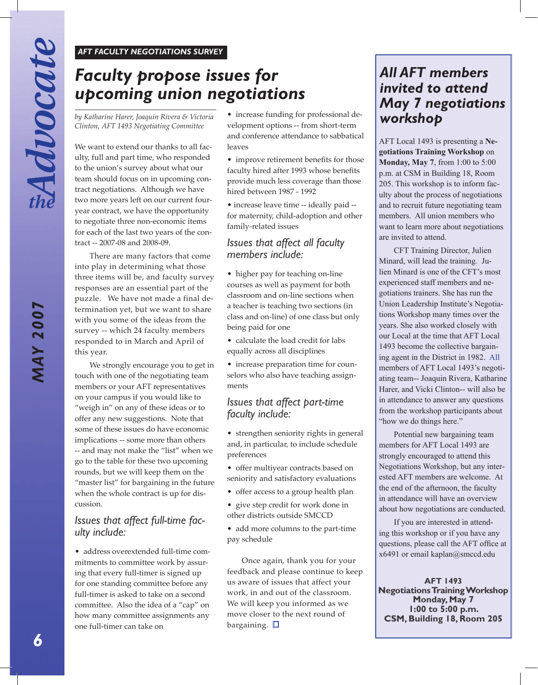#### *AFT FACULTY NEGOTIATIONS SURVEY*

# *Faculty propose issues for upcoming union negotiations*

*by Katharine Harer, Joaquin Rivera & Victoria Clinton, AFT 1493 Negotiating Committee*

We want to extend our thanks to all faculty, full and part time, who responded to the union's survey about what our team should focus on in upcoming contract negotiations. Although we have two more years left on our current fouryear contract, we have the opportunity to negotiate three non-economic items for each of the last two years of the contract -- 2007-08 and 2008-09.

There are many factors that come into play in determining what those three items will be, and faculty survey responses are an essential part of the puzzle. We have not made a final determination yet, but we want to share with you some of the ideas from the survey -- which 24 faculty members responded to in March and April of this year.

We strongly encourage you to get in touch with one of the negotiating team members or your AFT representatives on your campus if you would like to "weigh in" on any of these ideas or to offer any new suggestions. Note that some of these issues do have economic implications -- some more than others -- and may not make the "list" when we go to the table for these two upcoming rounds, but we will keep them on the "master list" for bargaining in the future when the whole contract is up for discussion.

## *Issues that affect full-time faculty include:*

• address overextended full-time commitments to committee work by assuring that every full-timer is signed up for one standing committee before any full-timer is asked to take on a second committee. Also the idea of a "cap" on how many committee assignments any one full-timer can take on

• increase funding for professional development options -- from short-term and conference attendance to sabbatical leaves

• improve retirement benefits for those faculty hired after 1993 whose benefits provide much less coverage than those hired between 1987 - 1992

• increase leave time -- ideally paid - for maternity, child-adoption and other family-related issues

## *Issues that affect all faculty members include:*

- higher pay for teaching on-line courses as well as payment for both classroom and on-line sections when a teacher is teaching two sections (in class and on-line) of one class but only being paid for one
- calculate the load credit for labs equally across all disciplines
- increase preparation time for counselors who also have teaching assignments

# *Issues that affect part-time faculty include:*

- strengthen seniority rights in general and, in particular, to include schedule preferences
- offer multiyear contracts based on seniority and satisfactory evaluations
- offer access to a group health plan
- give step credit for work done in other districts outside SMCCD
- add more columns to the part-time pay schedule

Once again, thank you for your feedback and please continue to keep us aware of issues that affect your work, in and out of the classroom. We will keep you informed as we move closer to the next round of bargaining.  $\square$ 

# *All AFT members invited to attend May 7 negotiations workshop*

AFT Local 1493 is presenting a **Negotiations Training Workshop** on **Monday, May 7**, from 1:00 to 5:00 p.m. at CSM in Building 18, Room 205. This workshop is to inform faculty about the process of negotiations and to recruit future negotiating team members. All union members who want to learn more about negotiations are invited to attend.

CFT Training Director, Julien Minard, will lead the training. Julien Minard is one of the CFT's most experienced staff members and negotiations trainers. She has run the Union Leadership Institute's Negotiations Workshop many times over the years. She also worked closely with our Local at the time that AFT Local 1493 become the collective bargaining agent in the District in 1982. All members of AFT Local 1493's negotiating team-- Joaquin Rivera, Katharine Harer, and Vicki Clinton-- will also be in attendance to answer any questions from the workshop participants about "how we do things here."

Potential new bargaining team members for AFT Local 1493 are strongly encouraged to attend this Negotiations Workshop, but any interested AFT members are welcome. At the end of the afternoon, the faculty in attendance will have an overview about how negotiations are conducted.

If you are interested in attending this workshop or if you have any questions, please call the AFT office at x6491 or email kaplan@smccd.edu

**AFT 1493 Negotiations Training Workshop Monday, May 7 1:00 to 5:00 p.m. CSM, Building 18, Room 205**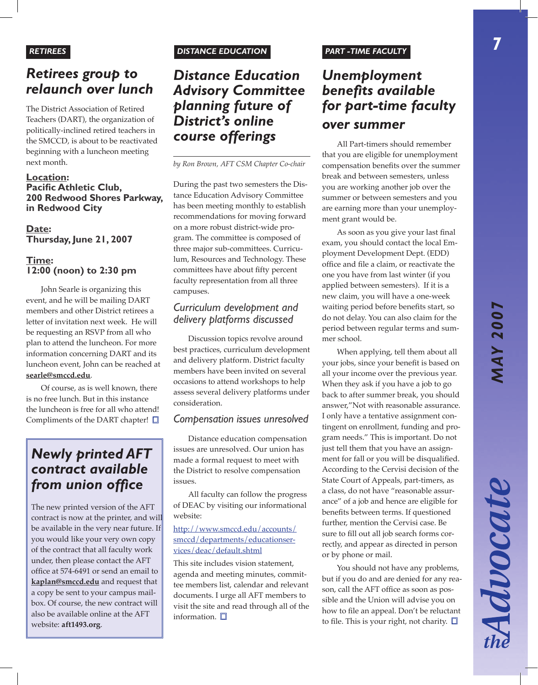# *Retirees group to relaunch over lunch*

The District Association of Retired Teachers (DART), the organization of politically-inclined retired teachers in the SMCCD, is about to be reactivated beginning with a luncheon meeting next month.

### **Location: Pacific Athletic Club, 200 Redwood Shores Parkway, in Redwood City**

**Date: Thursday, June 21, 2007**

# **Time: 12:00 (noon) to 2:30 pm**

John Searle is organizing this event, and he will be mailing DART members and other District retirees a letter of invitation next week. He will be requesting an RSVP from all who plan to attend the luncheon. For more information concerning DART and its luncheon event, John can be reached at **searle@smccd.edu**.

Of course, as is well known, there is no free lunch. But in this instance the luncheon is free for all who attend! Compliments of the DART chapter!  $\square$ 

# *Newly printed AFT contract available from union office*

The new printed version of the AFT contract is now at the printer, and will be available in the very near future. If you would like your very own copy of the contract that all faculty work under, then please contact the AFT office at 574-6491 or send an email to **kaplan@smccd.edu** and request that a copy be sent to your campus mailbox. Of course, the new contract will also be available online at the AFT website: **aft1493.org**.

# *RETIREES DISTANCE EDUCATION PART -TIME FACULTY*

*Distance Education Advisory Committee planning future of District's online course offerings*

*by Ron Brown, AFT CSM Chapter Co-chair*

During the past two semesters the Distance Education Advisory Committee has been meeting monthly to establish recommendations for moving forward on a more robust district-wide program. The committee is composed of three major sub-committees. Curriculum, Resources and Technology. These committees have about fifty percent faculty representation from all three campuses.

# *Curriculum development and delivery platforms discussed*

Discussion topics revolve around best practices, curriculum development and delivery platform. District faculty members have been invited on several occasions to attend workshops to help assess several delivery platforms under consideration.

# *Compensation issues unresolved*

Distance education compensation issues are unresolved. Our union has made a formal request to meet with the District to resolve compensation issues.

All faculty can follow the progress of DEAC by visiting our informational website:

### http://www.smccd.edu/accounts/ smccd/departments/educationservices/deac/default.shtml

This site includes vision statement, agenda and meeting minutes, committee members list, calendar and relevant documents. I urge all AFT members to visit the site and read through all of the information.  $\square$ 

# *Unemployment benefits available for part-time faculty over summer*

All Part-timers should remember that you are eligible for unemployment compensation benefits over the summer break and between semesters, unless you are working another job over the summer or between semesters and you are earning more than your unemployment grant would be.

As soon as you give your last final exam, you should contact the local Employment Development Dept. (EDD) office and file a claim, or reactivate the one you have from last winter (if you applied between semesters). If it is a new claim, you will have a one-week waiting period before benefits start, so do not delay. You can also claim for the period between regular terms and summer school.

When applying, tell them about all your jobs, since your benefit is based on all your income over the previous year. When they ask if you have a job to go back to after summer break, you should answer,"Not with reasonable assurance. I only have a tentative assignment contingent on enrollment, funding and program needs." This is important. Do not just tell them that you have an assignment for fall or you will be disqualified. According to the Cervisi decision of the State Court of Appeals, part-timers, as a class, do not have "reasonable assurance" of a job and hence are eligible for benefits between terms. If questioned further, mention the Cervisi case. Be sure to fill out all job search forms correctly, and appear as directed in person or by phone or mail.

You should not have any problems, but if you do and are denied for any reason, call the AFT office as soon as possible and the Union will advise you on how to file an appeal. Don't be reluctant to file. This is your right, not charity.  $\square$